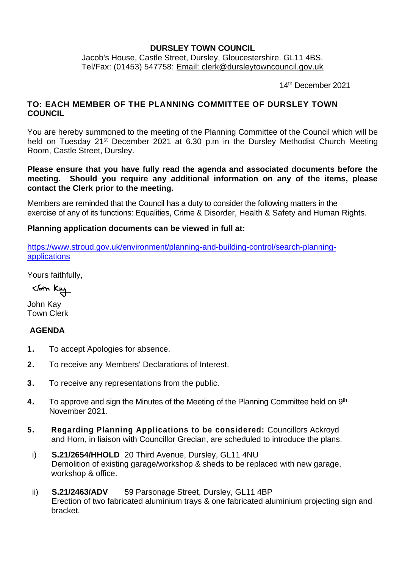#### **DURSLEY TOWN COUNCIL**

Jacob's House, Castle Street, Dursley, Gloucestershire. GL11 4BS. Tel/Fax: (01453) 547758: [Email: clerk@dursleytowncouncil.gov.uk](mailto:clerk@dursleytowncouncil.gov.uk)

14th December 2021

### **TO: EACH MEMBER OF THE PLANNING COMMITTEE OF DURSLEY TOWN COUNCIL**

You are hereby summoned to the meeting of the Planning Committee of the Council which will be held on Tuesday 21<sup>st</sup> December 2021 at 6.30 p.m in the Dursley Methodist Church Meeting Room, Castle Street, Dursley.

**Please ensure that you have fully read the agenda and associated documents before the meeting. Should you require any additional information on any of the items, please contact the Clerk prior to the meeting.**

Members are reminded that the Council has a duty to consider the following matters in the exercise of any of its functions: Equalities, Crime & Disorder, Health & Safety and Human Rights.

#### **Planning application documents can be viewed in full at:**

[https://www.stroud.gov.uk/environment/planning-and-building-control/search-planning](https://www.stroud.gov.uk/environment/planning-and-building-control/search-planning-applications)[applications](https://www.stroud.gov.uk/environment/planning-and-building-control/search-planning-applications)

Yours faithfully,

John Kay

John Kay Town Clerk

### **AGENDA**

- **1.** To accept Apologies for absence.
- **2.** To receive any Members' Declarations of Interest.
- **3.** To receive any representations from the public.
- 4. To approve and sign the Minutes of the Meeting of the Planning Committee held on 9<sup>th</sup> November 2021.
- **5. Regarding Planning Applications to be considered:** Councillors Ackroyd and Horn, in liaison with Councillor Grecian, are scheduled to introduce the plans.
- i) **S.21/2654/HHOLD** 20 Third Avenue, Dursley, GL11 4NU Demolition of existing garage/workshop & sheds to be replaced with new garage, workshop & office.
- ii) **S.21/2463/ADV** 59 Parsonage Street, Dursley, GL11 4BP Erection of two fabricated aluminium trays & one fabricated aluminium projecting sign and bracket.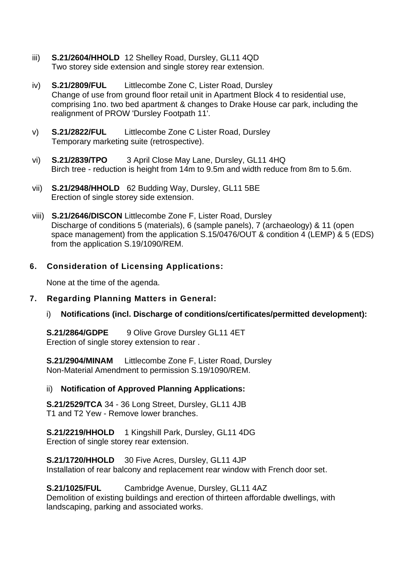- iii) **S.21/2604/HHOLD** 12 Shelley Road, Dursley, GL11 4QD Two storey side extension and single storey rear extension.
- iv) **S.21/2809/FUL** Littlecombe Zone C, Lister Road, Dursley Change of use from ground floor retail unit in Apartment Block 4 to residential use, comprising 1no. two bed apartment & changes to Drake House car park, including the realignment of PROW 'Dursley Footpath 11'.
- v) **S.21/2822/FUL** Littlecombe Zone C Lister Road, Dursley Temporary marketing suite (retrospective).
- vi) **S.21/2839/TPO** 3 April Close May Lane, Dursley, GL11 4HQ Birch tree - reduction is height from 14m to 9.5m and width reduce from 8m to 5.6m.
- vii) **S.21/2948/HHOLD** 62 Budding Way, Dursley, GL11 5BE Erection of single storey side extension.
- viii) **S.21/2646/DISCON** Littlecombe Zone F, Lister Road, Dursley Discharge of conditions 5 (materials), 6 (sample panels), 7 (archaeology) & 11 (open space management) from the application S.15/0476/OUT & condition 4 (LEMP) & 5 (EDS) from the application S.19/1090/REM.

### **6. Consideration of Licensing Applications:**

None at the time of the agenda.

#### **7. Regarding Planning Matters in General:**

i) **Notifications (incl. Discharge of conditions/certificates/permitted development):**

**S.21/2864/GDPE** 9 Olive Grove Dursley GL11 4ET Erection of single storey extension to rear .

**S.21/2904/MINAM** Littlecombe Zone F, Lister Road, Dursley Non-Material Amendment to permission S.19/1090/REM.

#### ii) **Notification of Approved Planning Applications:**

**S.21/2529/TCA** 34 - 36 Long Street, Dursley, GL11 4JB T1 and T2 Yew - Remove lower branches.

**S.21/2219/HHOLD** 1 Kingshill Park, Dursley, GL11 4DG Erection of single storey rear extension.

**S.21/1720/HHOLD** 30 Five Acres, Dursley, GL11 4JP Installation of rear balcony and replacement rear window with French door set.

#### **S.21/1025/FUL** Cambridge Avenue, Dursley, GL11 4AZ

Demolition of existing buildings and erection of thirteen affordable dwellings, with landscaping, parking and associated works.